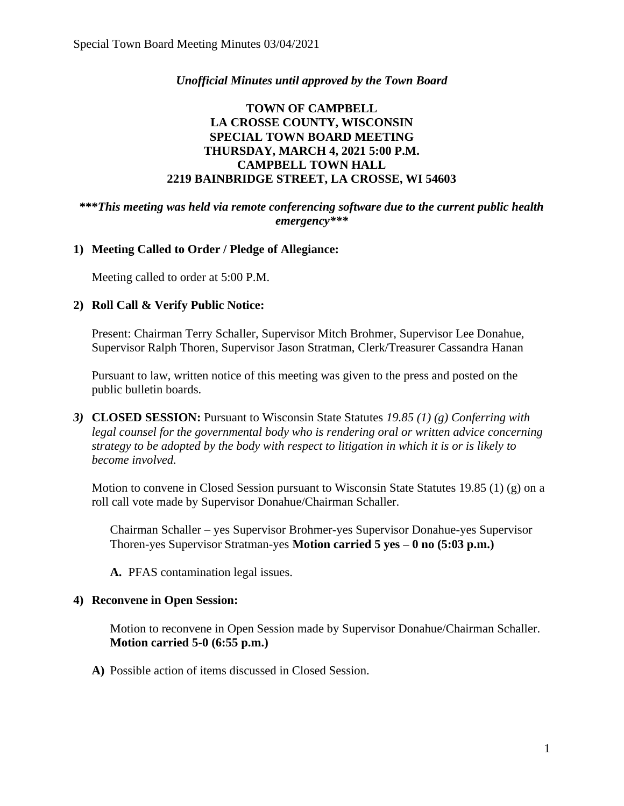# *Unofficial Minutes until approved by the Town Board*

# **TOWN OF CAMPBELL LA CROSSE COUNTY, WISCONSIN SPECIAL TOWN BOARD MEETING THURSDAY, MARCH 4, 2021 5:00 P.M. CAMPBELL TOWN HALL 2219 BAINBRIDGE STREET, LA CROSSE, WI 54603**

### **\*\*\****This meeting was held via remote conferencing software due to the current public health emergency\*\*\**

## **1) Meeting Called to Order / Pledge of Allegiance:**

Meeting called to order at 5:00 P.M.

### **2) Roll Call & Verify Public Notice:**

Present: Chairman Terry Schaller, Supervisor Mitch Brohmer, Supervisor Lee Donahue, Supervisor Ralph Thoren, Supervisor Jason Stratman, Clerk/Treasurer Cassandra Hanan

Pursuant to law, written notice of this meeting was given to the press and posted on the public bulletin boards.

*3)* **CLOSED SESSION:** Pursuant to Wisconsin State Statutes *19.85 (1) (g) Conferring with legal counsel for the governmental body who is rendering oral or written advice concerning strategy to be adopted by the body with respect to litigation in which it is or is likely to become involved.*

Motion to convene in Closed Session pursuant to Wisconsin State Statutes 19.85 (1) (g) on a roll call vote made by Supervisor Donahue/Chairman Schaller.

Chairman Schaller – yes Supervisor Brohmer-yes Supervisor Donahue-yes Supervisor Thoren-yes Supervisor Stratman-yes **Motion carried 5 yes – 0 no (5:03 p.m.)**

**A.** PFAS contamination legal issues.

### **4) Reconvene in Open Session:**

Motion to reconvene in Open Session made by Supervisor Donahue/Chairman Schaller. **Motion carried 5-0 (6:55 p.m.)**

**A)** Possible action of items discussed in Closed Session.